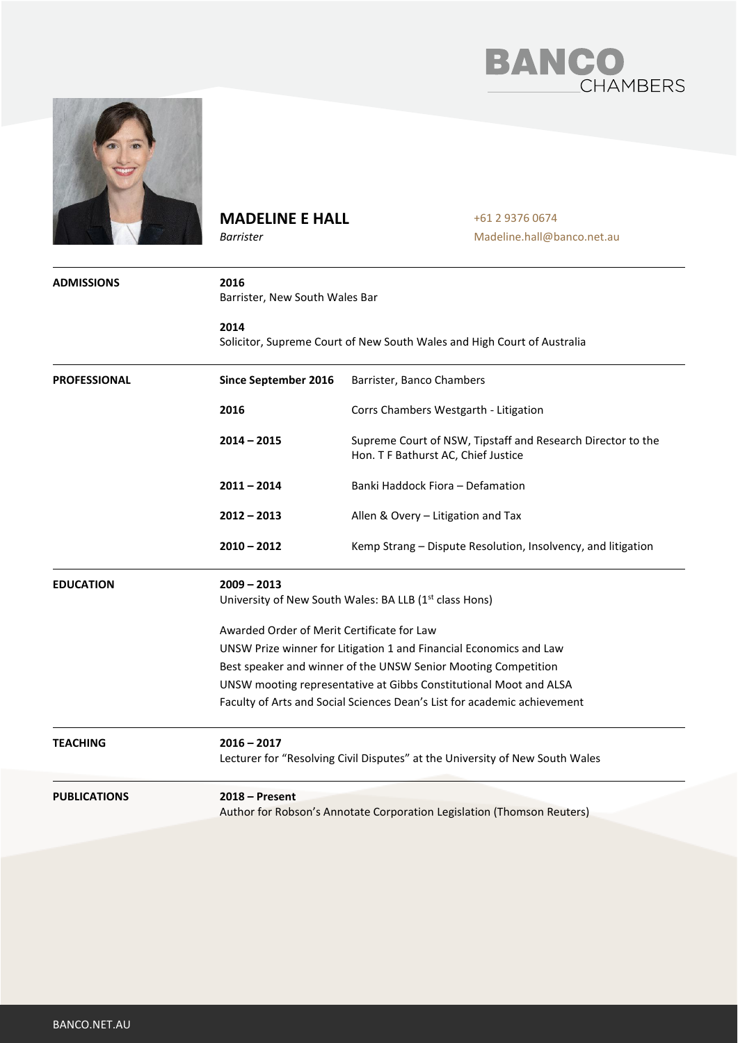



## **MADELINE E HALL**

*Barrister*

+61 2 9376 0674 Madeline.hall@banco.net.au

| <b>ADMISSIONS</b>   | 2016<br>Barrister, New South Wales Bar<br>2014<br>Solicitor, Supreme Court of New South Wales and High Court of Australia |                                                                                                    |  |
|---------------------|---------------------------------------------------------------------------------------------------------------------------|----------------------------------------------------------------------------------------------------|--|
|                     |                                                                                                                           |                                                                                                    |  |
| <b>PROFESSIONAL</b> | Since September 2016                                                                                                      | Barrister, Banco Chambers                                                                          |  |
|                     | 2016                                                                                                                      | Corrs Chambers Westgarth - Litigation                                                              |  |
|                     | $2014 - 2015$                                                                                                             | Supreme Court of NSW, Tipstaff and Research Director to the<br>Hon. T F Bathurst AC, Chief Justice |  |
|                     | $2011 - 2014$                                                                                                             | Banki Haddock Fiora - Defamation                                                                   |  |
|                     | $2012 - 2013$                                                                                                             | Allen & Overy - Litigation and Tax                                                                 |  |
|                     | $2010 - 2012$                                                                                                             | Kemp Strang – Dispute Resolution, Insolvency, and litigation                                       |  |
| <b>EDUCATION</b>    | $2009 - 2013$<br>University of New South Wales: BA LLB (1 <sup>st</sup> class Hons)                                       |                                                                                                    |  |
|                     | Awarded Order of Merit Certificate for Law                                                                                |                                                                                                    |  |
|                     | UNSW Prize winner for Litigation 1 and Financial Economics and Law                                                        |                                                                                                    |  |
|                     | Best speaker and winner of the UNSW Senior Mooting Competition                                                            |                                                                                                    |  |
|                     | UNSW mooting representative at Gibbs Constitutional Moot and ALSA                                                         |                                                                                                    |  |
|                     | Faculty of Arts and Social Sciences Dean's List for academic achievement                                                  |                                                                                                    |  |
| TEACHING            | $2016 - 2017$<br>Lecturer for "Resolving Civil Disputes" at the University of New South Wales                             |                                                                                                    |  |
| <b>PUBLICATIONS</b> | $2018 -$ Present<br>Author for Robson's Annotate Corporation Legislation (Thomson Reuters)                                |                                                                                                    |  |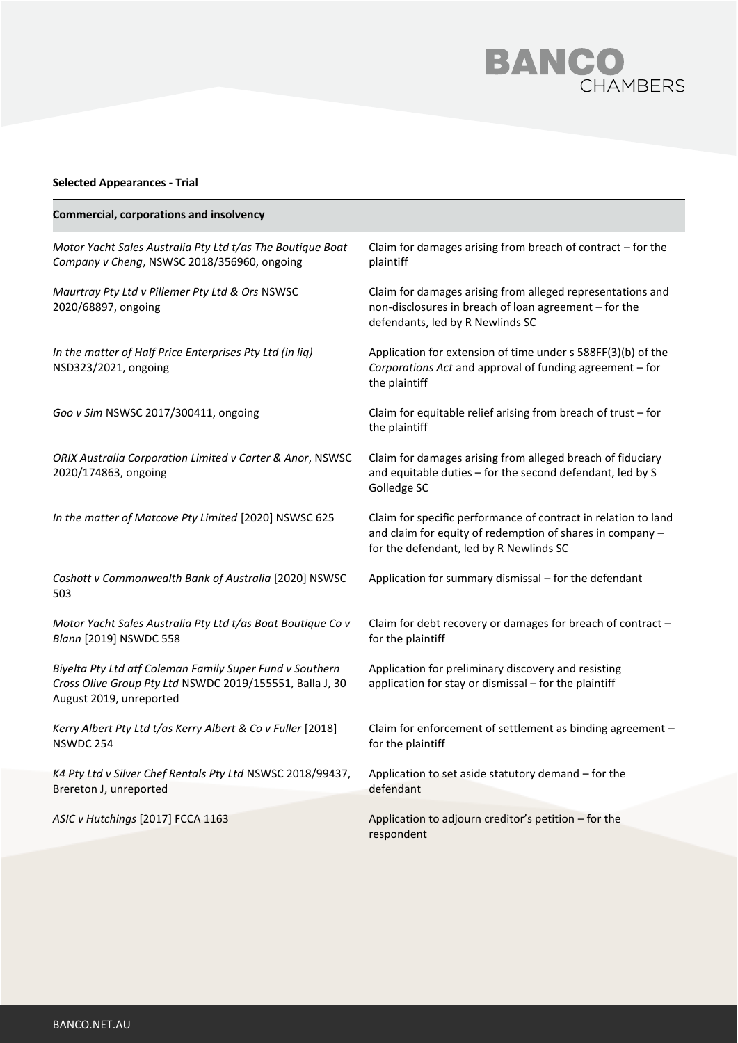

## **Selected Appearances - Trial**

| <b>Commercial, corporations and insolvency</b>                                                                                                  |                                                                                                                                                                        |
|-------------------------------------------------------------------------------------------------------------------------------------------------|------------------------------------------------------------------------------------------------------------------------------------------------------------------------|
| Motor Yacht Sales Australia Pty Ltd t/as The Boutique Boat<br>Company v Cheng, NSWSC 2018/356960, ongoing                                       | Claim for damages arising from breach of contract - for the<br>plaintiff                                                                                               |
| Maurtray Pty Ltd v Pillemer Pty Ltd & Ors NSWSC<br>2020/68897, ongoing                                                                          | Claim for damages arising from alleged representations and<br>non-disclosures in breach of loan agreement - for the<br>defendants, led by R Newlinds SC                |
| In the matter of Half Price Enterprises Pty Ltd (in liq)<br>NSD323/2021, ongoing                                                                | Application for extension of time under s 588FF(3)(b) of the<br>Corporations Act and approval of funding agreement - for<br>the plaintiff                              |
| Goo v Sim NSWSC 2017/300411, ongoing                                                                                                            | Claim for equitable relief arising from breach of trust - for<br>the plaintiff                                                                                         |
| ORIX Australia Corporation Limited v Carter & Anor, NSWSC<br>2020/174863, ongoing                                                               | Claim for damages arising from alleged breach of fiduciary<br>and equitable duties - for the second defendant, led by S<br>Golledge SC                                 |
| In the matter of Matcove Pty Limited [2020] NSWSC 625                                                                                           | Claim for specific performance of contract in relation to land<br>and claim for equity of redemption of shares in company -<br>for the defendant, led by R Newlinds SC |
| Coshott v Commonwealth Bank of Australia [2020] NSWSC<br>503                                                                                    | Application for summary dismissal - for the defendant                                                                                                                  |
| Motor Yacht Sales Australia Pty Ltd t/as Boat Boutique Co v<br>Blann [2019] NSWDC 558                                                           | Claim for debt recovery or damages for breach of contract -<br>for the plaintiff                                                                                       |
| Biyelta Pty Ltd atf Coleman Family Super Fund v Southern<br>Cross Olive Group Pty Ltd NSWDC 2019/155551, Balla J, 30<br>August 2019, unreported | Application for preliminary discovery and resisting<br>application for stay or dismissal - for the plaintiff                                                           |
| Kerry Albert Pty Ltd t/as Kerry Albert & Co v Fuller [2018]<br>NSWDC 254                                                                        | Claim for enforcement of settlement as binding agreement -<br>for the plaintiff                                                                                        |
| K4 Pty Ltd v Silver Chef Rentals Pty Ltd NSWSC 2018/99437,<br>Brereton J, unreported                                                            | Application to set aside statutory demand - for the<br>defendant                                                                                                       |
| ASIC v Hutchings [2017] FCCA 1163                                                                                                               | Application to adjourn creditor's petition - for the<br>respondent                                                                                                     |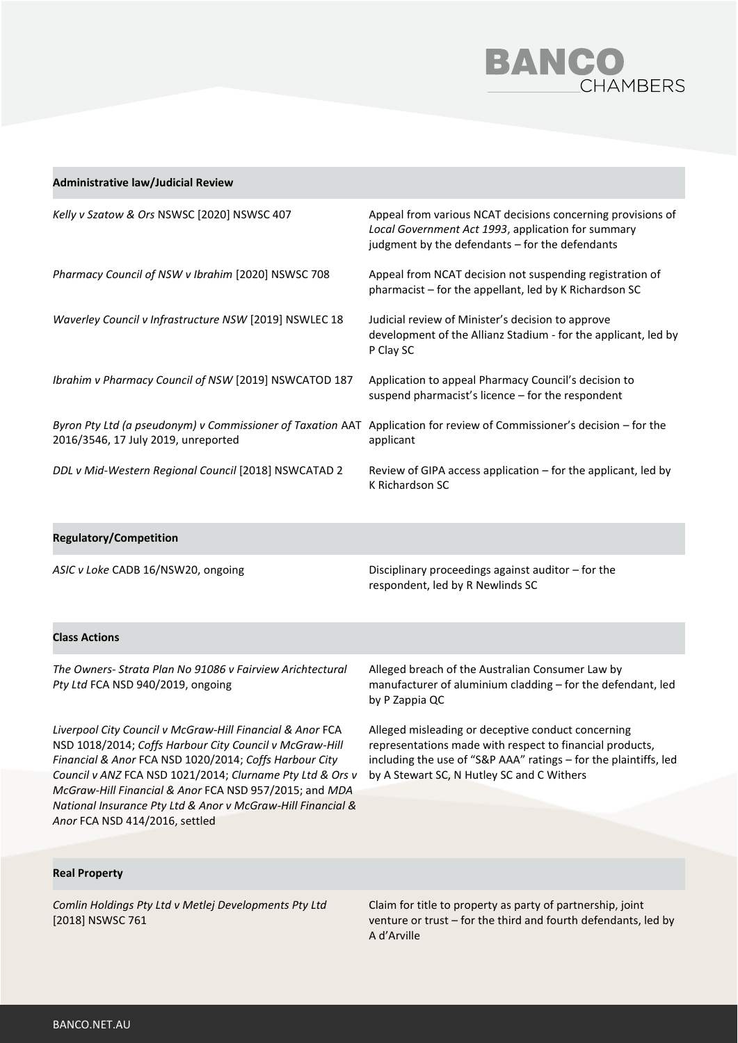

| <b>Administrative law/Judicial Review</b>                                                         |                                                                                                                                                                      |
|---------------------------------------------------------------------------------------------------|----------------------------------------------------------------------------------------------------------------------------------------------------------------------|
| Kelly v Szatow & Ors NSWSC [2020] NSWSC 407                                                       | Appeal from various NCAT decisions concerning provisions of<br>Local Government Act 1993, application for summary<br>judgment by the defendants - for the defendants |
| Pharmacy Council of NSW v Ibrahim [2020] NSWSC 708                                                | Appeal from NCAT decision not suspending registration of<br>pharmacist - for the appellant, led by K Richardson SC                                                   |
| Waverley Council v Infrastructure NSW [2019] NSWLEC 18                                            | Judicial review of Minister's decision to approve<br>development of the Allianz Stadium - for the applicant, led by<br>P Clay SC                                     |
| Ibrahim v Pharmacy Council of NSW [2019] NSWCATOD 187                                             | Application to appeal Pharmacy Council's decision to<br>suspend pharmacist's licence - for the respondent                                                            |
| Byron Pty Ltd (a pseudonym) v Commissioner of Taxation AAT<br>2016/3546, 17 July 2019, unreported | Application for review of Commissioner's decision – for the<br>applicant                                                                                             |
| DDL v Mid-Western Regional Council [2018] NSWCATAD 2                                              | Review of GIPA access application - for the applicant, led by<br>K Richardson SC                                                                                     |
| <b>Regulatory/Competition</b>                                                                     |                                                                                                                                                                      |
| ASIC v Loke CADB 16/NSW20, ongoing                                                                | Disciplinary proceedings against auditor - for the                                                                                                                   |

**Class Actions**

*The Owners- Strata Plan No 91086 v Fairview Arichtectural Pty Ltd* FCA NSD 940/2019, ongoing

Alleged breach of the Australian Consumer Law by manufacturer of aluminium cladding – for the defendant, led by P Zappia QC

respondent, led by R Newlinds SC

*Liverpool City Council v McGraw-Hill Financial & Anor* FCA NSD 1018/2014; *Coffs Harbour City Council v McGraw-Hill Financial & Anor* FCA NSD 1020/2014; *Coffs Harbour City Council v ANZ* FCA NSD 1021/2014; *Clurname Pty Ltd & Ors v McGraw-Hill Financial & Anor* FCA NSD 957/2015; and *MDA National Insurance Pty Ltd & Anor v McGraw-Hill Financial & Anor* FCA NSD 414/2016, settled

Alleged misleading or deceptive conduct concerning representations made with respect to financial products, including the use of "S&P AAA" ratings – for the plaintiffs, led by A Stewart SC, N Hutley SC and C Withers

## **Real Property**

*Comlin Holdings Pty Ltd v Metlej Developments Pty Ltd*  [2018] NSWSC 761

Claim for title to property as party of partnership, joint venture or trust – for the third and fourth defendants, led by A d'Arville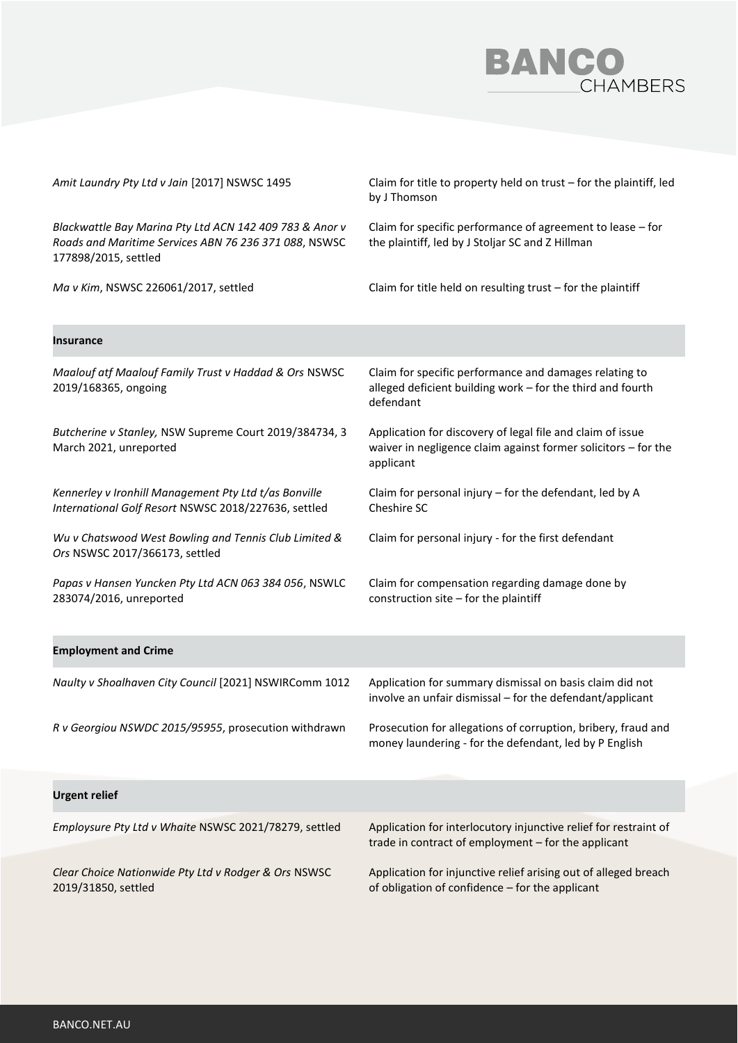

| Amit Laundry Pty Ltd v Jain [2017] NSWSC 1495                                                                                            | Claim for title to property held on trust - for the plaintiff, led<br>by J Thomson                                                        |
|------------------------------------------------------------------------------------------------------------------------------------------|-------------------------------------------------------------------------------------------------------------------------------------------|
| Blackwattle Bay Marina Pty Ltd ACN 142 409 783 & Anor v<br>Roads and Maritime Services ABN 76 236 371 088, NSWSC<br>177898/2015, settled | Claim for specific performance of agreement to lease - for<br>the plaintiff, led by J Stoljar SC and Z Hillman                            |
| Ma v Kim, NSWSC 226061/2017, settled                                                                                                     | Claim for title held on resulting trust $-$ for the plaintiff                                                                             |
| <b>Insurance</b>                                                                                                                         |                                                                                                                                           |
| Maalouf atf Maalouf Family Trust v Haddad & Ors NSWSC<br>2019/168365, ongoing                                                            | Claim for specific performance and damages relating to<br>alleged deficient building work - for the third and fourth<br>defendant         |
| Butcherine v Stanley, NSW Supreme Court 2019/384734, 3<br>March 2021, unreported                                                         | Application for discovery of legal file and claim of issue<br>waiver in negligence claim against former solicitors - for the<br>applicant |
| Kennerley v Ironhill Management Pty Ltd t/as Bonville<br>International Golf Resort NSWSC 2018/227636, settled                            | Claim for personal injury - for the defendant, led by A<br>Cheshire SC                                                                    |
| Wu v Chatswood West Bowling and Tennis Club Limited &<br>Ors NSWSC 2017/366173, settled                                                  | Claim for personal injury - for the first defendant                                                                                       |
| Papas v Hansen Yuncken Pty Ltd ACN 063 384 056, NSWLC<br>283074/2016, unreported                                                         | Claim for compensation regarding damage done by<br>construction site - for the plaintiff                                                  |
| <b>Employment and Crime</b>                                                                                                              |                                                                                                                                           |
| Naulty v Shoalhaven City Council [2021] NSWIRComm 1012                                                                                   | Application for summary dismissal on basis claim did not<br>involve an unfair dismissal - for the defendant/applicant                     |
| R v Georgiou NSWDC 2015/95955, prosecution withdrawn                                                                                     | Prosecution for allegations of corruption, bribery, fraud and<br>money laundering - for the defendant, led by P English                   |
| <b>Urgent relief</b>                                                                                                                     |                                                                                                                                           |
| Employsure Pty Ltd v Whaite NSWSC 2021/78279, settled                                                                                    | Application for interlocutory injunctive relief for restraint of<br>trade in contract of employment - for the applicant                   |
| Clear Choice Nationwide Pty Ltd v Rodger & Ors NSWSC<br>2019/31850, settled                                                              | Application for injunctive relief arising out of alleged breach<br>of obligation of confidence - for the applicant                        |